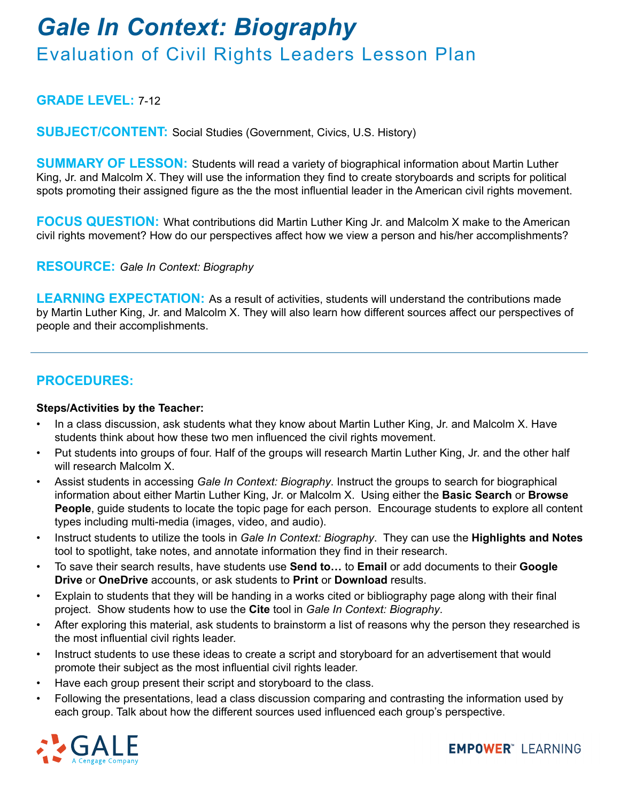## *Gale In Context: Biography*  Evaluation of Civil Rights Leaders Lesson Plan

## **GRADE LEVEL:** 7-12

**SUBJECT/CONTENT:** Social Studies (Government, Civics, U.S. History)

**SUMMARY OF LESSON:** Students will read a variety of biographical information about Martin Luther King, Jr. and Malcolm X. They will use the information they find to create storyboards and scripts for political spots promoting their assigned figure as the the most influential leader in the American civil rights movement.

**FOCUS QUESTION:** What contributions did Martin Luther King Jr. and Malcolm X make to the American civil rights movement? How do our perspectives affect how we view a person and his/her accomplishments?

**RESOURCE:** *Gale In Context: Biography*

LEARNING EXPECTATION: As a result of activities, students will understand the contributions made by Martin Luther King, Jr. and Malcolm X. They will also learn how different sources affect our perspectives of people and their accomplishments.

### **PROCEDURES:**

### **Steps/Activities by the Teacher:**

- In a class discussion, ask students what they know about Martin Luther King, Jr. and Malcolm X. Have students think about how these two men influenced the civil rights movement.
- Put students into groups of four. Half of the groups will research Martin Luther King, Jr. and the other half will research Malcolm X.
- Assist students in accessing *Gale In Context: Biography*. Instruct the groups to search for biographical information about either Martin Luther King, Jr. or Malcolm X. Using either the **Basic Search** or **Browse People**, guide students to locate the topic page for each person. Encourage students to explore all content types including multi-media (images, video, and audio).
- Instruct students to utilize the tools in *Gale In Context: Biography*. They can use the **Highlights and Notes**  tool to spotlight, take notes, and annotate information they find in their research.
- To save their search results, have students use **Send to…** to **Email** or add documents to their **Google Drive** or **OneDrive** accounts, or ask students to **Print** or **Download** results.
- Explain to students that they will be handing in a works cited or bibliography page along with their final project. Show students how to use the **Cite** tool in *Gale In Context: Biography*.
- After exploring this material, ask students to brainstorm a list of reasons why the person they researched is the most influential civil rights leader.
- Instruct students to use these ideas to create a script and storyboard for an advertisement that would promote their subject as the most influential civil rights leader.
- Have each group present their script and storyboard to the class.
- Following the presentations, lead a class discussion comparing and contrasting the information used by each group. Talk about how the different sources used influenced each group's perspective.



**EMPOWER**" LEARNING